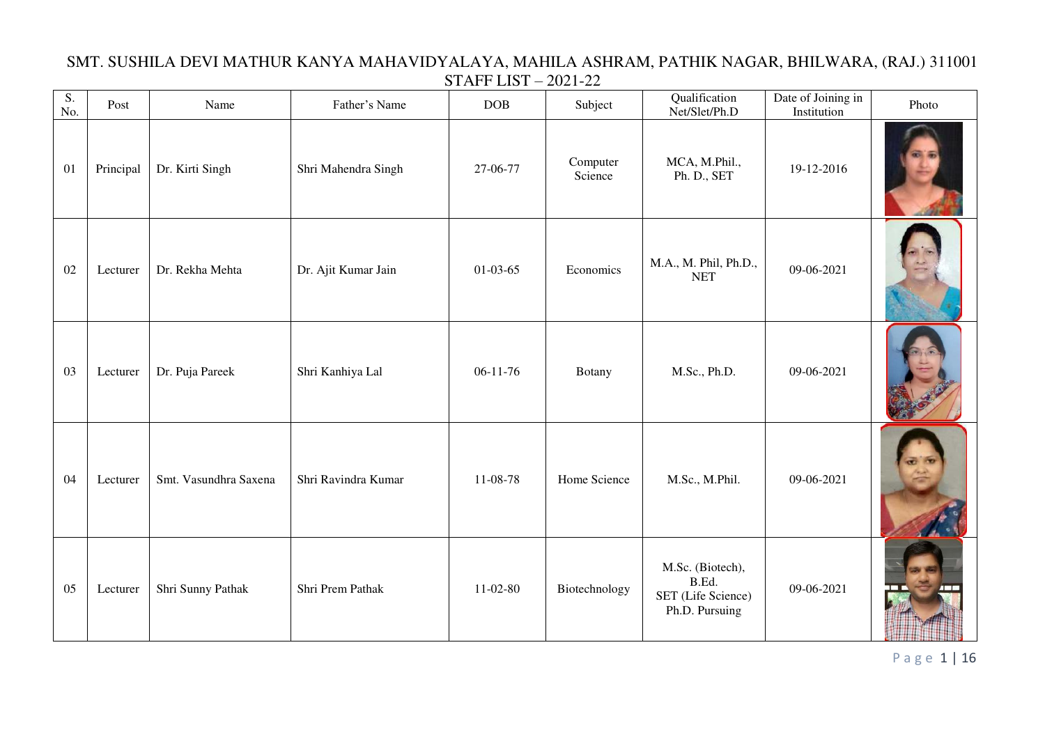| $\overline{S}$ .<br>No. | Post      | Name                  | Father's Name       | <b>DOB</b> | Subject             | Qualification<br>Net/Slet/Ph.D                                    | Date of Joining in<br>Institution | Photo |
|-------------------------|-----------|-----------------------|---------------------|------------|---------------------|-------------------------------------------------------------------|-----------------------------------|-------|
| 01                      | Principal | Dr. Kirti Singh       | Shri Mahendra Singh | 27-06-77   | Computer<br>Science | MCA, M.Phil.,<br>Ph. D., SET                                      | 19-12-2016                        |       |
| 02                      | Lecturer  | Dr. Rekha Mehta       | Dr. Ajit Kumar Jain | $01-03-65$ | Economics           | M.A., M. Phil, Ph.D.,<br><b>NET</b>                               | 09-06-2021                        |       |
| 03                      | Lecturer  | Dr. Puja Pareek       | Shri Kanhiya Lal    | $06-11-76$ | <b>Botany</b>       | M.Sc., Ph.D.                                                      | 09-06-2021                        |       |
| 04                      | Lecturer  | Smt. Vasundhra Saxena | Shri Ravindra Kumar | 11-08-78   | Home Science        | M.Sc., M.Phil.                                                    | 09-06-2021                        |       |
| 05                      | Lecturer  | Shri Sunny Pathak     | Shri Prem Pathak    | $11-02-80$ | Biotechnology       | M.Sc. (Biotech),<br>B.Ed.<br>SET (Life Science)<br>Ph.D. Pursuing | 09-06-2021                        |       |

## SMT. SUSHILA DEVI MATHUR KANYA MAHAVIDYALAYA, MAHILA ASHRAM, PATHIK NAGAR, BHILWARA, (RAJ.) 311001 STAFF LIST – 2021-22

P a g e 1 | 16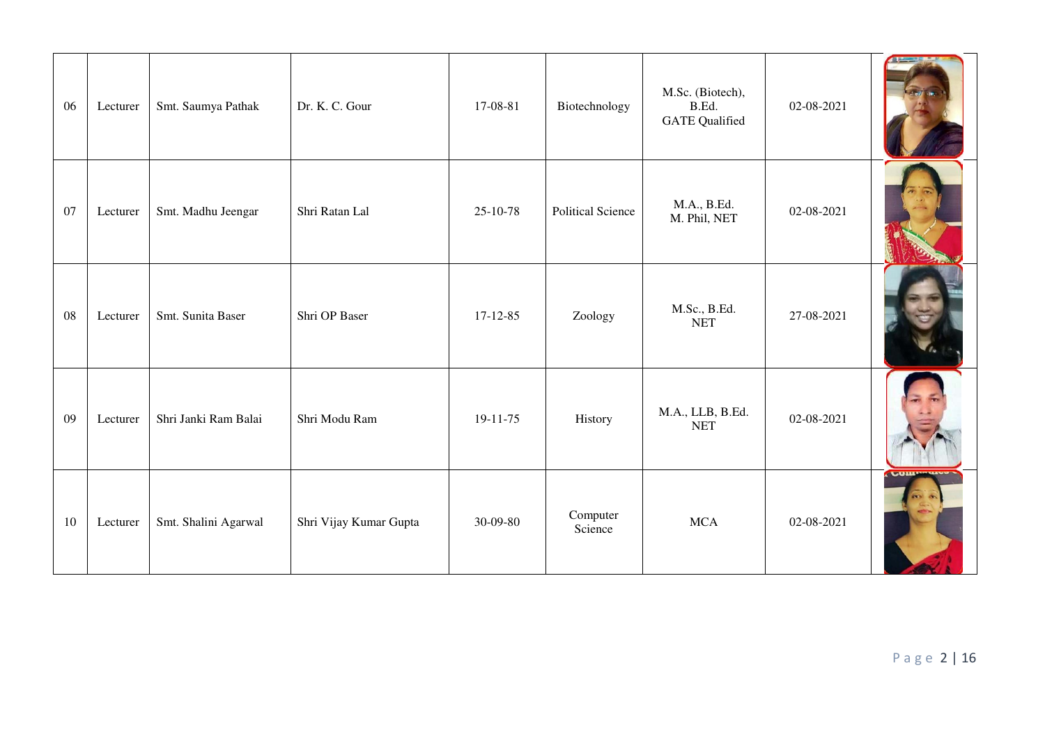| 06 | Lecturer | Smt. Saumya Pathak   | Dr. K. C. Gour         | 17-08-81       | Biotechnology            | M.Sc. (Biotech),<br>B.Ed.<br><b>GATE Qualified</b> | 02-08-2021 |              |
|----|----------|----------------------|------------------------|----------------|--------------------------|----------------------------------------------------|------------|--------------|
| 07 | Lecturer | Smt. Madhu Jeengar   | Shri Ratan Lal         | $25 - 10 - 78$ | <b>Political Science</b> | M.A., B.Ed.<br>M. Phil, NET                        | 02-08-2021 |              |
| 08 | Lecturer | Smt. Sunita Baser    | Shri OP Baser          | $17 - 12 - 85$ | Zoology                  | M.Sc., B.Ed.<br><b>NET</b>                         | 27-08-2021 |              |
| 09 | Lecturer | Shri Janki Ram Balai | Shri Modu Ram          | $19-11-75$     | History                  | M.A., LLB, B.Ed.<br><b>NET</b>                     | 02-08-2021 |              |
| 10 | Lecturer | Smt. Shalini Agarwal | Shri Vijay Kumar Gupta | 30-09-80       | Computer<br>Science      | <b>MCA</b>                                         | 02-08-2021 | <b>LOILE</b> |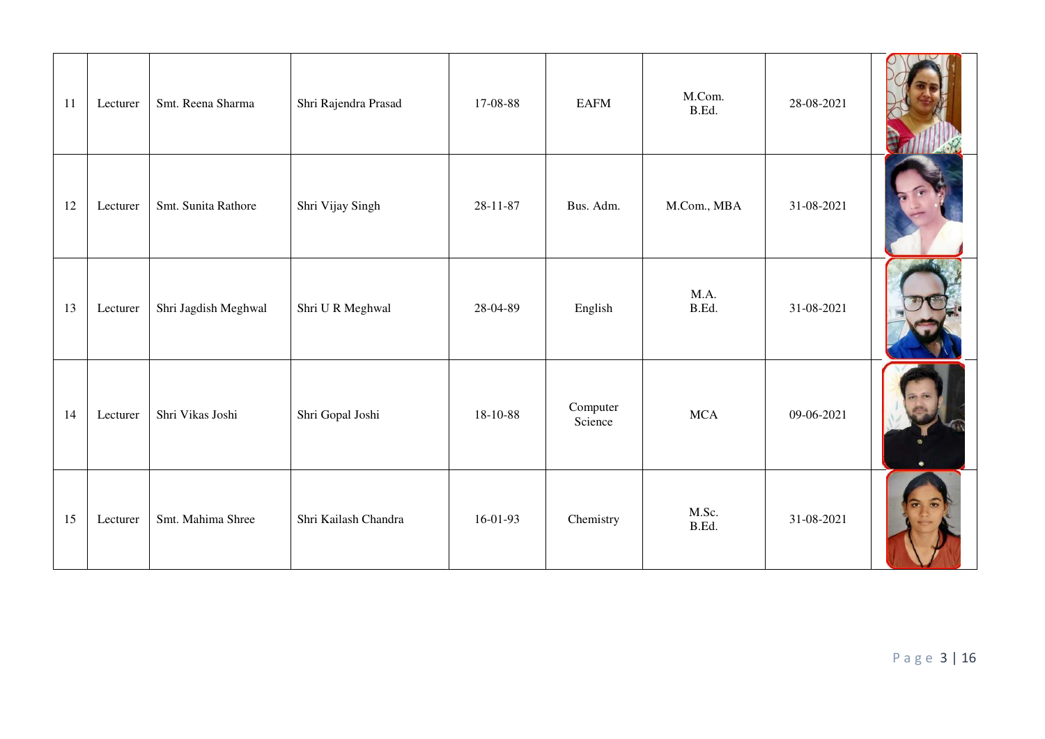| $11\,$ | Lecturer | Smt. Reena Sharma    | Shri Rajendra Prasad | 17-08-88 | <b>EAFM</b>         | M.Com.<br>B.Ed. | 28-08-2021 |  |
|--------|----------|----------------------|----------------------|----------|---------------------|-----------------|------------|--|
| 12     | Lecturer | Smt. Sunita Rathore  | Shri Vijay Singh     | 28-11-87 | Bus. Adm.           | M.Com., MBA     | 31-08-2021 |  |
| 13     | Lecturer | Shri Jagdish Meghwal | Shri U R Meghwal     | 28-04-89 | English             | M.A.<br>B.Ed.   | 31-08-2021 |  |
| 14     | Lecturer | Shri Vikas Joshi     | Shri Gopal Joshi     | 18-10-88 | Computer<br>Science | <b>MCA</b>      | 09-06-2021 |  |
| 15     | Lecturer | Smt. Mahima Shree    | Shri Kailash Chandra | 16-01-93 | Chemistry           | M.Sc.<br>B.Ed.  | 31-08-2021 |  |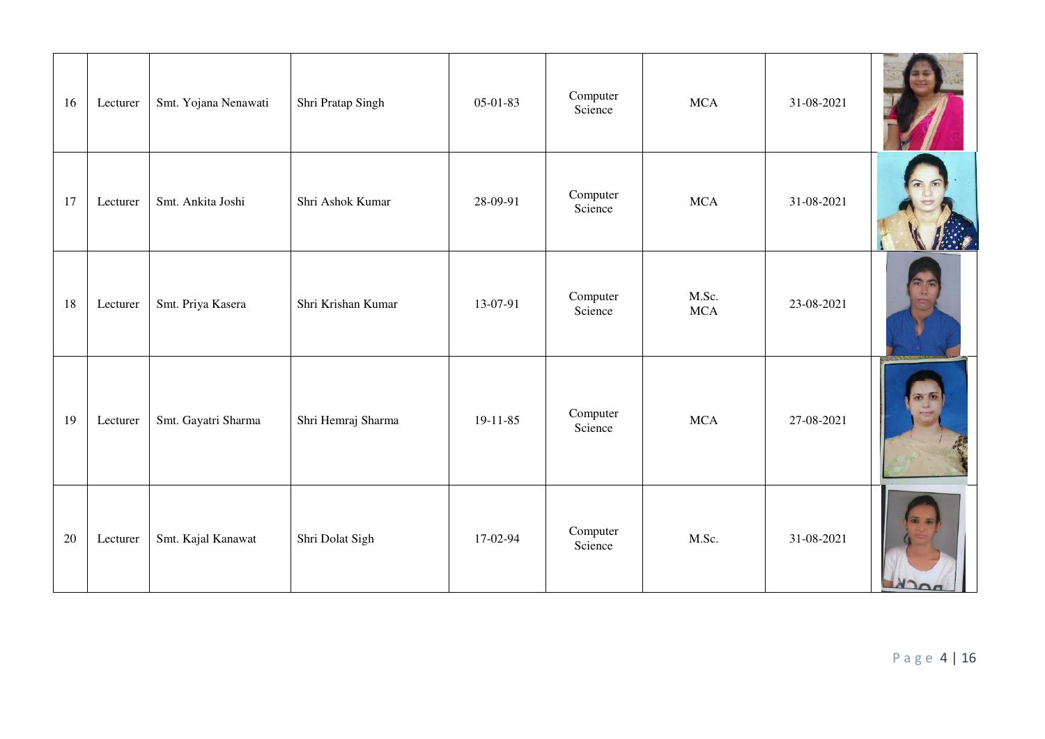| 16 | Lecturer | Smt. Yojana Nenawati | Shri Pratap Singh  | 05-01-83       | Computer<br>Science | <b>MCA</b>          | 31-08-2021 |                         |
|----|----------|----------------------|--------------------|----------------|---------------------|---------------------|------------|-------------------------|
| 17 | Lecturer | Smt. Ankita Joshi    | Shri Ashok Kumar   | 28-09-91       | Computer<br>Science | <b>MCA</b>          | 31-08-2021 |                         |
| 18 | Lecturer | Smt. Priya Kasera    | Shri Krishan Kumar | 13-07-91       | Computer<br>Science | M.Sc.<br><b>MCA</b> | 23-08-2021 |                         |
| 19 | Lecturer | Smt. Gayatri Sharma  | Shri Hemraj Sharma | $19 - 11 - 85$ | Computer<br>Science | <b>MCA</b>          | 27-08-2021 |                         |
| 20 | Lecturer | Smt. Kajal Kanawat   | Shri Dolat Sigh    | 17-02-94       | Computer<br>Science | M.Sc.               | 31-08-2021 | $\overline{\mathbf{a}}$ |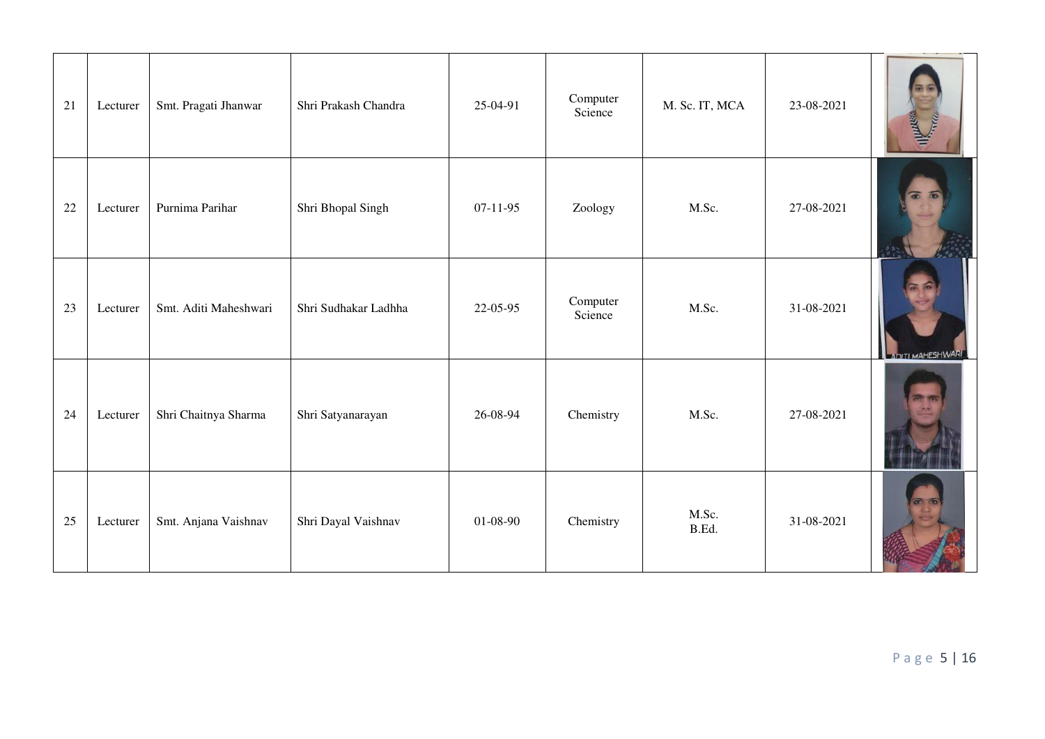| 21 | Lecturer | Smt. Pragati Jhanwar  | Shri Prakash Chandra | 25-04-91   | Computer<br>Science | M. Sc. IT, MCA | 23-08-2021 | <b>Mary Allie</b>       |
|----|----------|-----------------------|----------------------|------------|---------------------|----------------|------------|-------------------------|
| 22 | Lecturer | Purnima Parihar       | Shri Bhopal Singh    | $07-11-95$ | Zoology             | M.Sc.          | 27-08-2021 | $\blacksquare$          |
| 23 | Lecturer | Smt. Aditi Maheshwari | Shri Sudhakar Ladhha | 22-05-95   | Computer<br>Science | M.Sc.          | 31-08-2021 | <b>IDITI MAHESHWARI</b> |
| 24 | Lecturer | Shri Chaitnya Sharma  | Shri Satyanarayan    | 26-08-94   | Chemistry           | M.Sc.          | 27-08-2021 |                         |
| 25 | Lecturer | Smt. Anjana Vaishnav  | Shri Dayal Vaishnav  | 01-08-90   | Chemistry           | M.Sc.<br>B.Ed. | 31-08-2021 | $\sigma$                |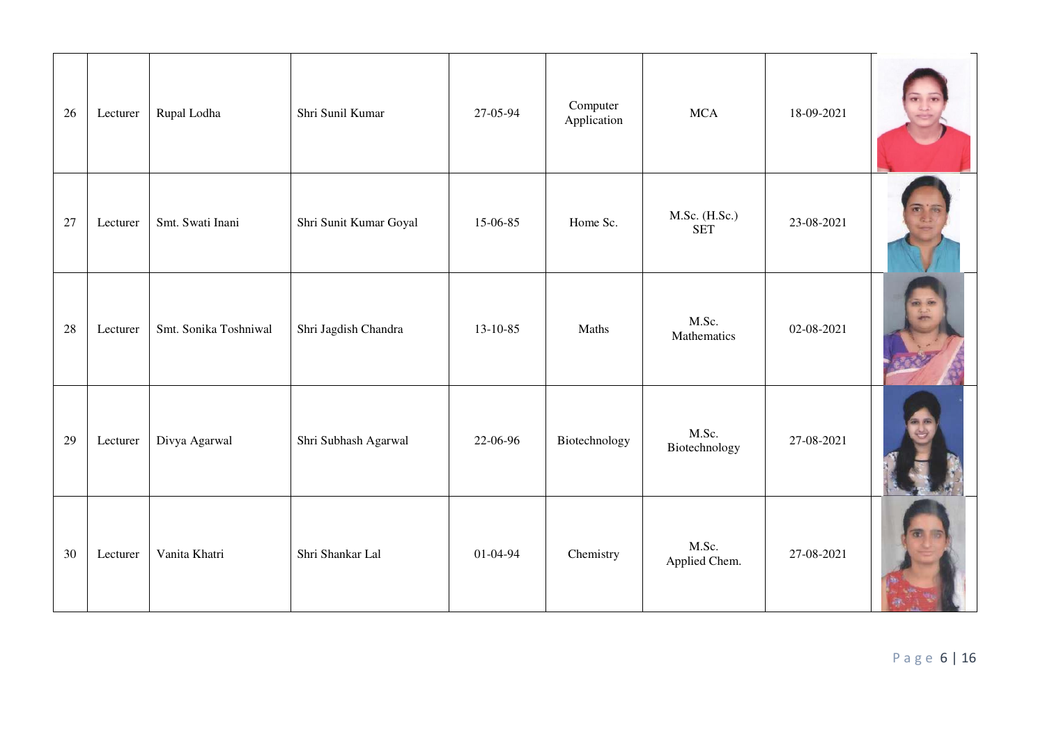| 26 | Lecturer | Rupal Lodha           | Shri Sunil Kumar       | 27-05-94 | Computer<br>Application | <b>MCA</b>                  | 18-09-2021 |  |
|----|----------|-----------------------|------------------------|----------|-------------------------|-----------------------------|------------|--|
| 27 | Lecturer | Smt. Swati Inani      | Shri Sunit Kumar Goyal | 15-06-85 | Home Sc.                | M.Sc. (H.Sc.)<br><b>SET</b> | 23-08-2021 |  |
| 28 | Lecturer | Smt. Sonika Toshniwal | Shri Jagdish Chandra   | 13-10-85 | Maths                   | M.Sc.<br>Mathematics        | 02-08-2021 |  |
| 29 | Lecturer | Divya Agarwal         | Shri Subhash Agarwal   | 22-06-96 | Biotechnology           | M.Sc.<br>Biotechnology      | 27-08-2021 |  |
| 30 | Lecturer | Vanita Khatri         | Shri Shankar Lal       | 01-04-94 | Chemistry               | M.Sc.<br>Applied Chem.      | 27-08-2021 |  |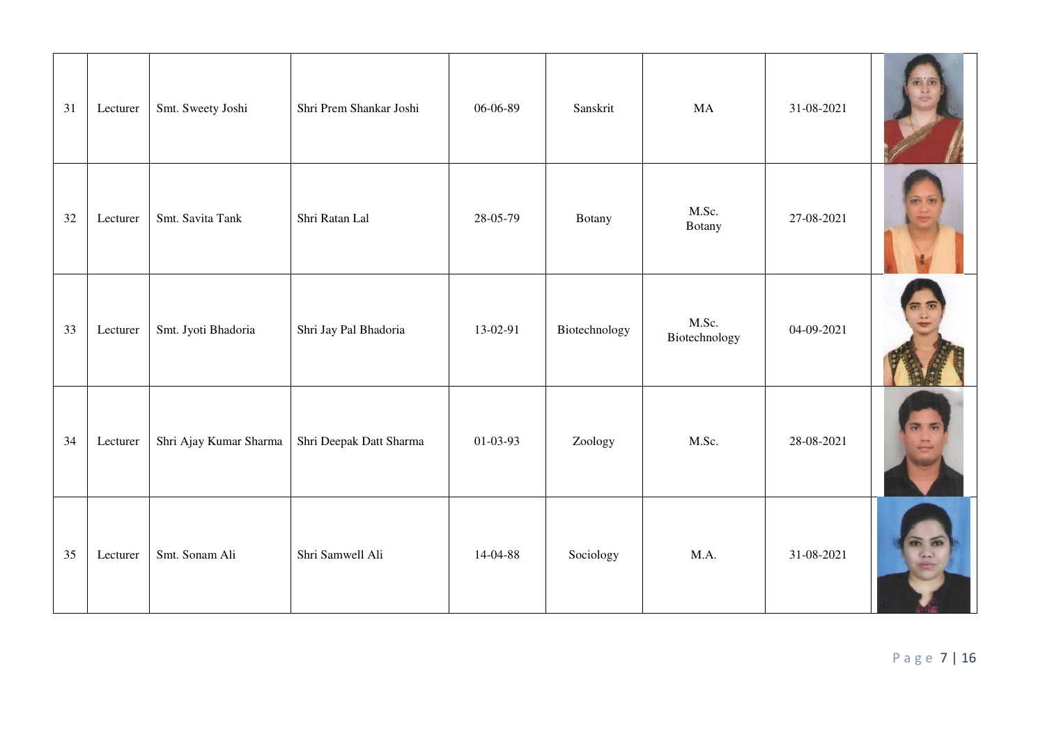| 31 | Lecturer | Smt. Sweety Joshi      | Shri Prem Shankar Joshi | 06-06-89   | Sanskrit      | MA                     | 31-08-2021 |  |
|----|----------|------------------------|-------------------------|------------|---------------|------------------------|------------|--|
| 32 | Lecturer | Smt. Savita Tank       | Shri Ratan Lal          | 28-05-79   | Botany        | M.Sc.<br>Botany        | 27-08-2021 |  |
| 33 | Lecturer | Smt. Jyoti Bhadoria    | Shri Jay Pal Bhadoria   | 13-02-91   | Biotechnology | M.Sc.<br>Biotechnology | 04-09-2021 |  |
| 34 | Lecturer | Shri Ajay Kumar Sharma | Shri Deepak Datt Sharma | $01-03-93$ | Zoology       | M.Sc.                  | 28-08-2021 |  |
| 35 | Lecturer | Smt. Sonam Ali         | Shri Samwell Ali        | 14-04-88   | Sociology     | M.A.                   | 31-08-2021 |  |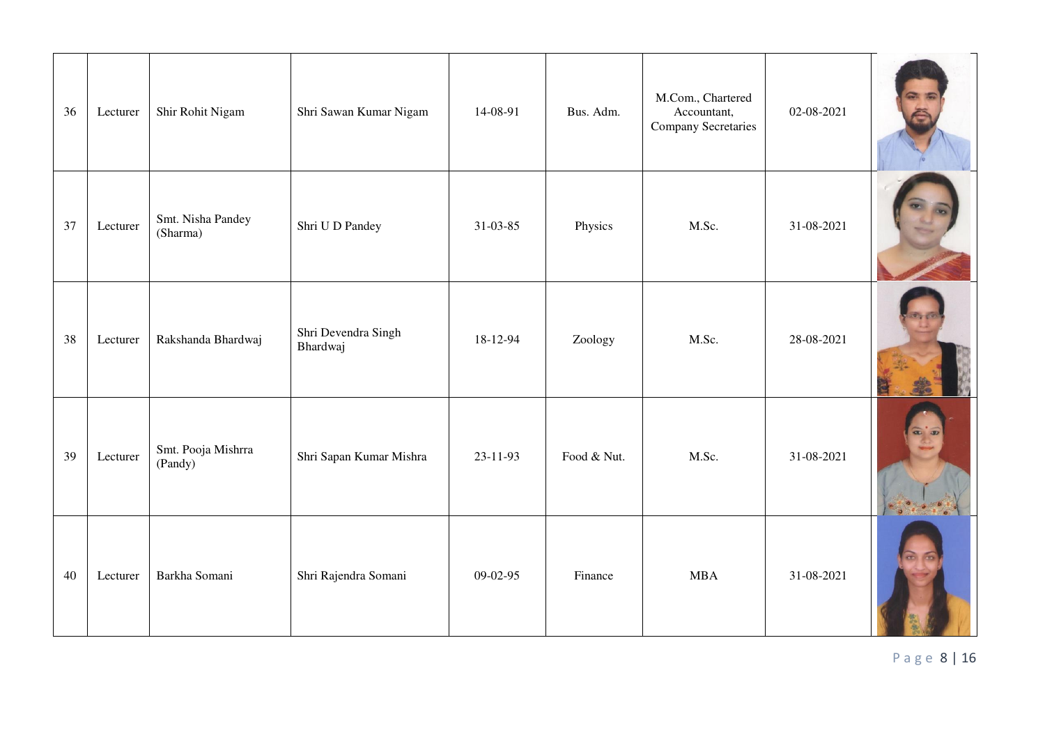| 36 | Lecturer | Shir Rohit Nigam              | Shri Sawan Kumar Nigam          | 14-08-91       | Bus. Adm.   | M.Com., Chartered<br>Accountant,<br><b>Company Secretaries</b> | 02-08-2021 |                  |
|----|----------|-------------------------------|---------------------------------|----------------|-------------|----------------------------------------------------------------|------------|------------------|
| 37 | Lecturer | Smt. Nisha Pandey<br>(Sharma) | Shri U D Pandey                 | 31-03-85       | Physics     | M.Sc.                                                          | 31-08-2021 |                  |
| 38 | Lecturer | Rakshanda Bhardwaj            | Shri Devendra Singh<br>Bhardwaj | 18-12-94       | Zoology     | M.Sc.                                                          | 28-08-2021 |                  |
| 39 | Lecturer | Smt. Pooja Mishrra<br>(Pandy) | Shri Sapan Kumar Mishra         | $23 - 11 - 93$ | Food & Nut. | M.Sc.                                                          | 31-08-2021 | $\alpha$ $\beta$ |
| 40 | Lecturer | Barkha Somani                 | Shri Rajendra Somani            | 09-02-95       | Finance     | <b>MBA</b>                                                     | 31-08-2021 |                  |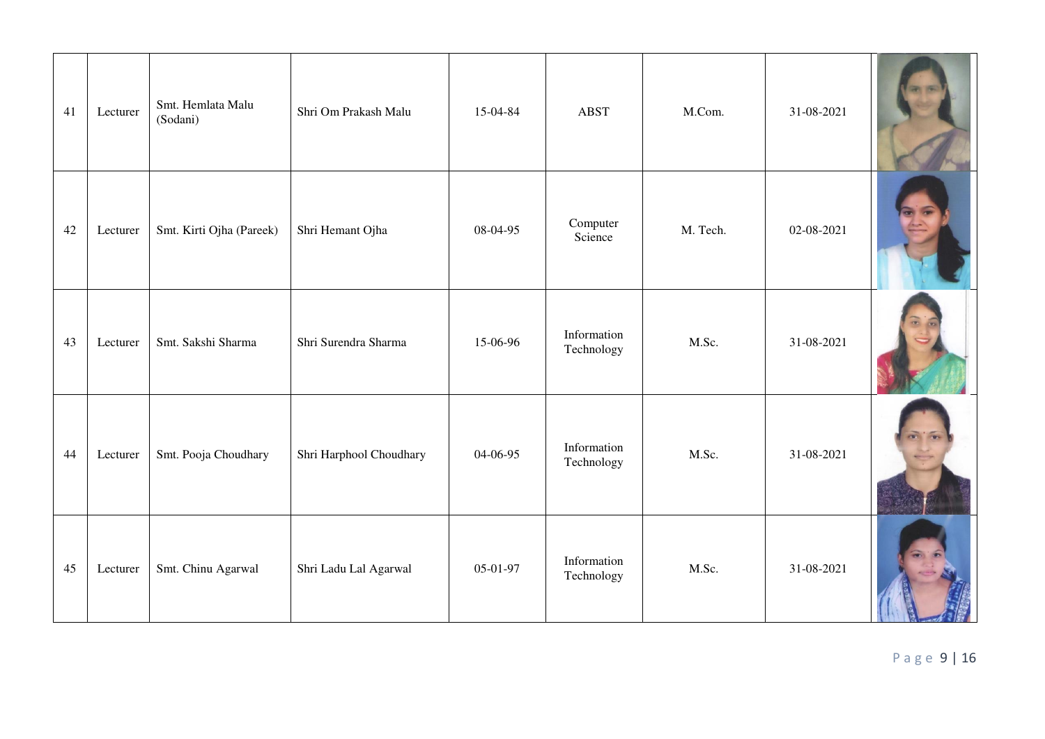| 41 | Lecturer | Smt. Hemlata Malu<br>(Sodani) | Shri Om Prakash Malu    | 15-04-84 | <b>ABST</b>               | M.Com.   | 31-08-2021 |  |
|----|----------|-------------------------------|-------------------------|----------|---------------------------|----------|------------|--|
| 42 | Lecturer | Smt. Kirti Ojha (Pareek)      | Shri Hemant Ojha        | 08-04-95 | Computer<br>Science       | M. Tech. | 02-08-2021 |  |
| 43 | Lecturer | Smt. Sakshi Sharma            | Shri Surendra Sharma    | 15-06-96 | Information<br>Technology | M.Sc.    | 31-08-2021 |  |
| 44 | Lecturer | Smt. Pooja Choudhary          | Shri Harphool Choudhary | 04-06-95 | Information<br>Technology | M.Sc.    | 31-08-2021 |  |
| 45 | Lecturer | Smt. Chinu Agarwal            | Shri Ladu Lal Agarwal   | 05-01-97 | Information<br>Technology | M.Sc.    | 31-08-2021 |  |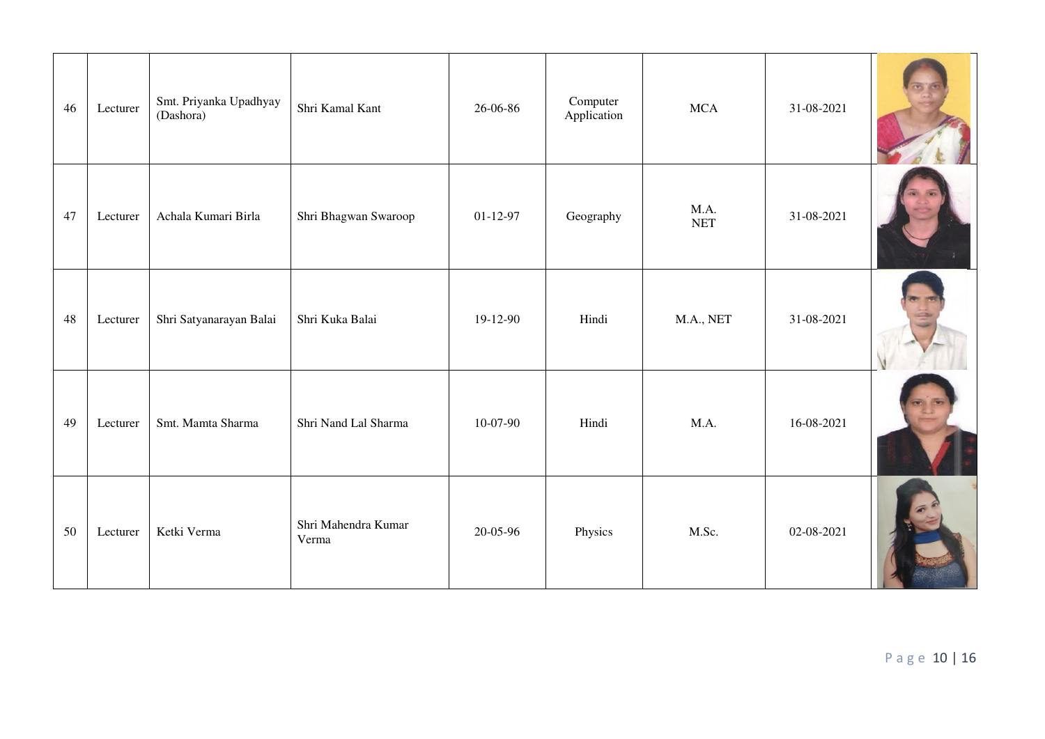| 46 | Lecturer | Smt. Priyanka Upadhyay<br>(Dashora) | Shri Kamal Kant              | 26-06-86   | Computer<br>Application | <b>MCA</b>         | 31-08-2021 |  |
|----|----------|-------------------------------------|------------------------------|------------|-------------------------|--------------------|------------|--|
| 47 | Lecturer | Achala Kumari Birla                 | Shri Bhagwan Swaroop         | $01-12-97$ | Geography               | M.A.<br><b>NET</b> | 31-08-2021 |  |
| 48 | Lecturer | Shri Satyanarayan Balai             | Shri Kuka Balai              | 19-12-90   | Hindi                   | M.A., NET          | 31-08-2021 |  |
| 49 | Lecturer | Smt. Mamta Sharma                   | Shri Nand Lal Sharma         | 10-07-90   | Hindi                   | M.A.               | 16-08-2021 |  |
| 50 | Lecturer | Ketki Verma                         | Shri Mahendra Kumar<br>Verma | 20-05-96   | Physics                 | M.Sc.              | 02-08-2021 |  |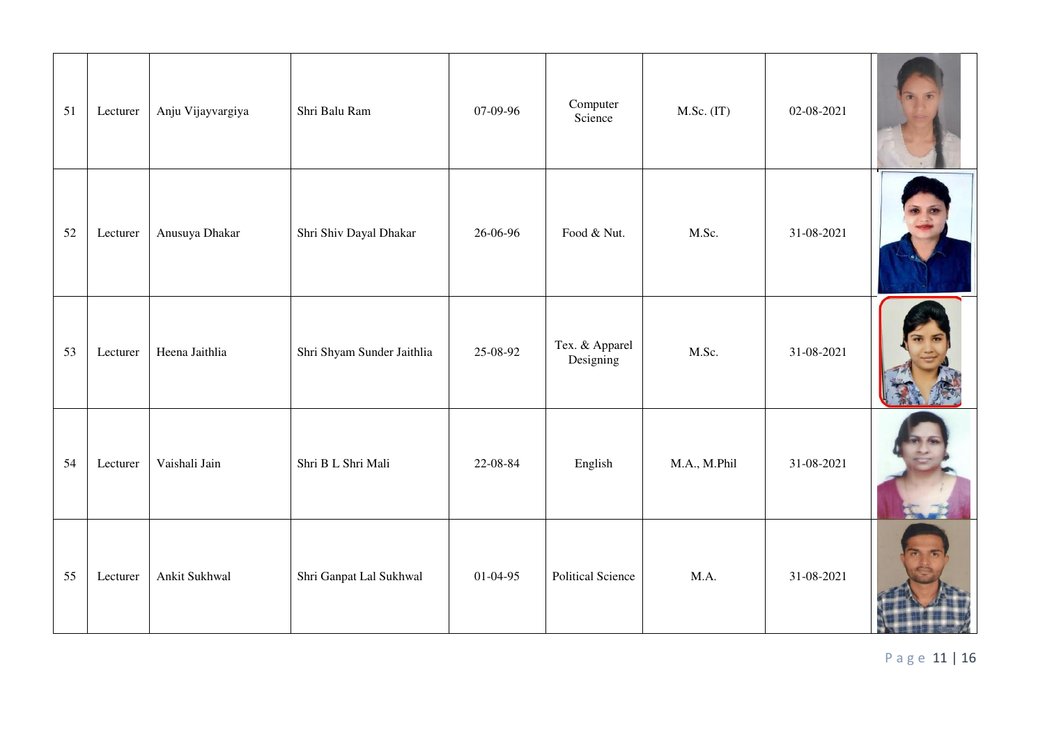| 51 | Lecturer | Anju Vijayvargiya | Shri Balu Ram              | 07-09-96   | Computer<br>Science         | $M.Sc.$ (IT) | 02-08-2021 |  |
|----|----------|-------------------|----------------------------|------------|-----------------------------|--------------|------------|--|
| 52 | Lecturer | Anusuya Dhakar    | Shri Shiv Dayal Dhakar     | 26-06-96   | Food & Nut.                 | M.Sc.        | 31-08-2021 |  |
| 53 | Lecturer | Heena Jaithlia    | Shri Shyam Sunder Jaithlia | 25-08-92   | Tex. & Apparel<br>Designing | M.Sc.        | 31-08-2021 |  |
| 54 | Lecturer | Vaishali Jain     | Shri B L Shri Mali         | 22-08-84   | English                     | M.A., M.Phil | 31-08-2021 |  |
| 55 | Lecturer | Ankit Sukhwal     | Shri Ganpat Lal Sukhwal    | $01-04-95$ | <b>Political Science</b>    | M.A.         | 31-08-2021 |  |

P a g e 11 | 16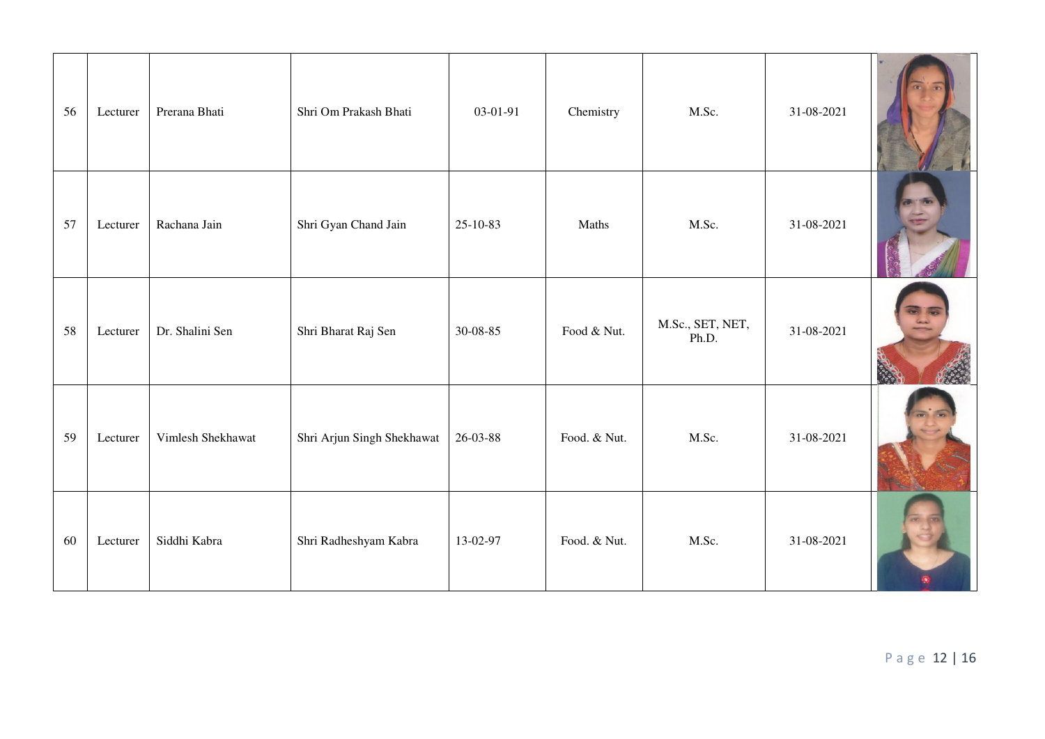| 56 | Lecturer | Prerana Bhati     | Shri Om Prakash Bhati      | 03-01-91 | Chemistry    | M.Sc.                     | 31-08-2021 |  |
|----|----------|-------------------|----------------------------|----------|--------------|---------------------------|------------|--|
| 57 | Lecturer | Rachana Jain      | Shri Gyan Chand Jain       | 25-10-83 | Maths        | M.Sc.                     | 31-08-2021 |  |
| 58 | Lecturer | Dr. Shalini Sen   | Shri Bharat Raj Sen        | 30-08-85 | Food & Nut.  | M.Sc., SET, NET,<br>Ph.D. | 31-08-2021 |  |
| 59 | Lecturer | Vimlesh Shekhawat | Shri Arjun Singh Shekhawat | 26-03-88 | Food. & Nut. | M.Sc.                     | 31-08-2021 |  |
| 60 | Lecturer | Siddhi Kabra      | Shri Radheshyam Kabra      | 13-02-97 | Food. & Nut. | M.Sc.                     | 31-08-2021 |  |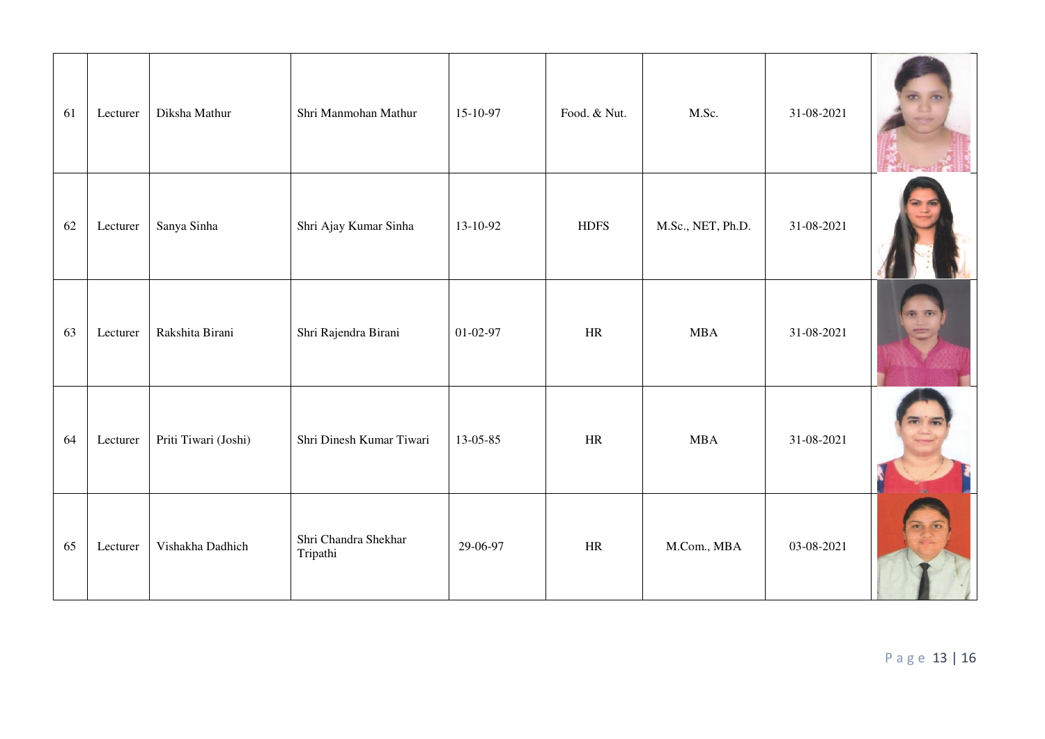| 61 | Lecturer | Diksha Mathur        | Shri Manmohan Mathur             | 15-10-97       | Food. & Nut. | M.Sc.             | 31-08-2021 |    |
|----|----------|----------------------|----------------------------------|----------------|--------------|-------------------|------------|----|
| 62 | Lecturer | Sanya Sinha          | Shri Ajay Kumar Sinha            | 13-10-92       | <b>HDFS</b>  | M.Sc., NET, Ph.D. | 31-08-2021 |    |
| 63 | Lecturer | Rakshita Birani      | Shri Rajendra Birani             | $01 - 02 - 97$ | HR           | <b>MBA</b>        | 31-08-2021 | 西西 |
| 64 | Lecturer | Priti Tiwari (Joshi) | Shri Dinesh Kumar Tiwari         | 13-05-85       | HR           | <b>MBA</b>        | 31-08-2021 |    |
| 65 | Lecturer | Vishakha Dadhich     | Shri Chandra Shekhar<br>Tripathi | 29-06-97       | HR           | M.Com., MBA       | 03-08-2021 |    |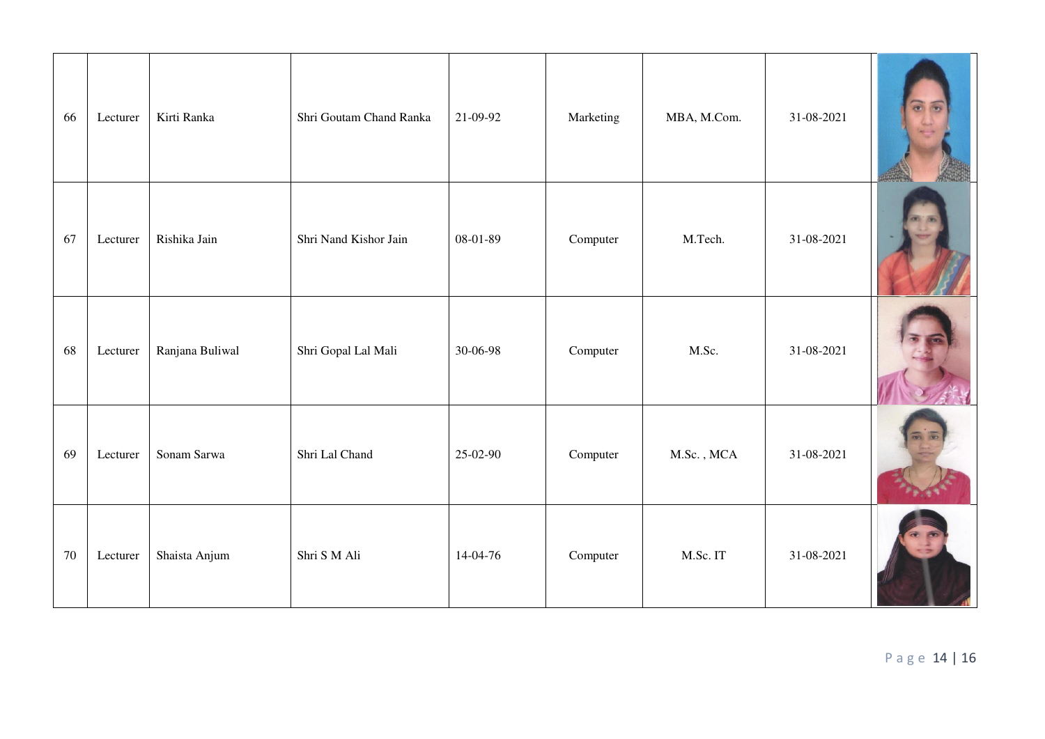| 66     | Lecturer | Kirti Ranka     | Shri Goutam Chand Ranka | 21-09-92 | Marketing | MBA, M.Com. | 31-08-2021 |  |
|--------|----------|-----------------|-------------------------|----------|-----------|-------------|------------|--|
| 67     | Lecturer | Rishika Jain    | Shri Nand Kishor Jain   | 08-01-89 | Computer  | M.Tech.     | 31-08-2021 |  |
| 68     | Lecturer | Ranjana Buliwal | Shri Gopal Lal Mali     | 30-06-98 | Computer  | M.Sc.       | 31-08-2021 |  |
| 69     | Lecturer | Sonam Sarwa     | Shri Lal Chand          | 25-02-90 | Computer  | M.Sc., MCA  | 31-08-2021 |  |
| $70\,$ | Lecturer | Shaista Anjum   | Shri S M Ali            | 14-04-76 | Computer  | M.Sc. IT    | 31-08-2021 |  |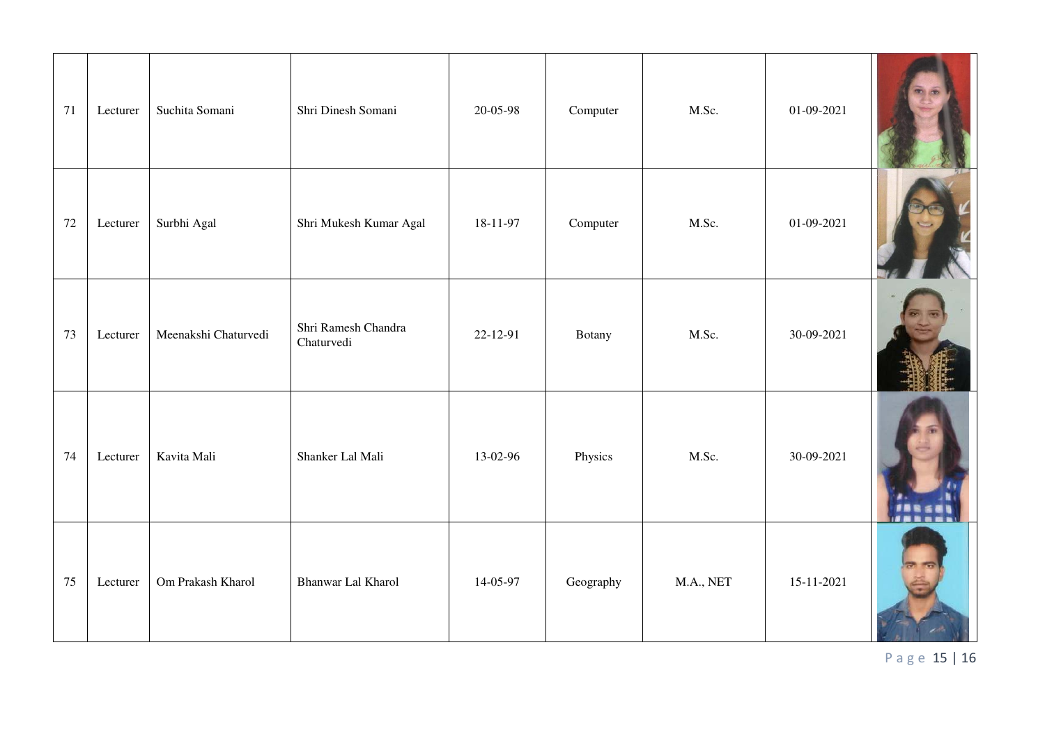| 71 | Lecturer | Suchita Somani       | Shri Dinesh Somani                | 20-05-98 | Computer  | M.Sc.     | $01-09-2021$ |  |
|----|----------|----------------------|-----------------------------------|----------|-----------|-----------|--------------|--|
| 72 | Lecturer | Surbhi Agal          | Shri Mukesh Kumar Agal            | 18-11-97 | Computer  | M.Sc.     | $01-09-2021$ |  |
| 73 | Lecturer | Meenakshi Chaturvedi | Shri Ramesh Chandra<br>Chaturvedi | 22-12-91 | Botany    | M.Sc.     | 30-09-2021   |  |
| 74 | Lecturer | Kavita Mali          | Shanker Lal Mali                  | 13-02-96 | Physics   | M.Sc.     | 30-09-2021   |  |
| 75 | Lecturer | Om Prakash Kharol    | Bhanwar Lal Kharol                | 14-05-97 | Geography | M.A., NET | 15-11-2021   |  |

P a g e 15 | 16